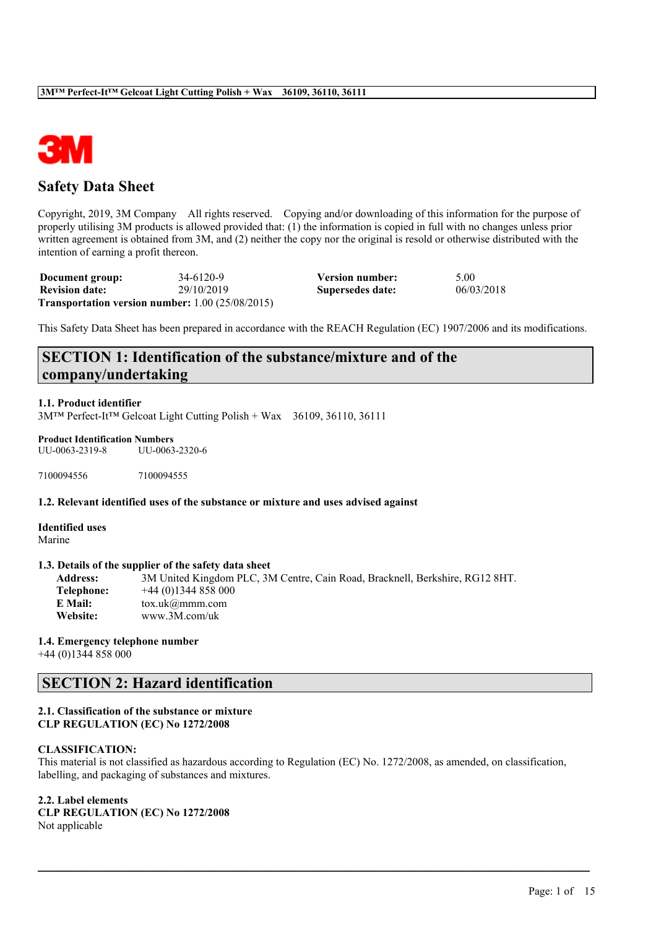

# **Safety Data Sheet**

Copyright, 2019, 3M Company All rights reserved. Copying and/or downloading of this information for the purpose of properly utilising 3M products is allowed provided that: (1) the information is copied in full with no changes unless prior written agreement is obtained from 3M, and (2) neither the copy nor the original is resold or otherwise distributed with the intention of earning a profit thereon.

| Document group:       | 34-6120-9                                                     | Version number:  | 5.00       |
|-----------------------|---------------------------------------------------------------|------------------|------------|
| <b>Revision date:</b> | 29/10/2019                                                    | Supersedes date: | 06/03/2018 |
|                       | <b>Transportation version number:</b> $1.00$ ( $25/08/2015$ ) |                  |            |

This Safety Data Sheet has been prepared in accordance with the REACH Regulation (EC) 1907/2006 and its modifications.

# **SECTION 1: Identification of the substance/mixture and of the company/undertaking**

### **1.1. Product identifier**

3M™ Perfect-It™ Gelcoat Light Cutting Polish + Wax 36109, 36110, 36111

### **Product Identification Numbers**

UU-0063-2319-8 UU-0063-2320-6

7100094556 7100094555

### **1.2. Relevant identified uses of the substance or mixture and uses advised against**

**Identified uses** Marine

#### **1.3. Details of the supplier of the safety data sheet**

**Address:** 3M United Kingdom PLC, 3M Centre, Cain Road, Bracknell, Berkshire, RG12 8HT. **Telephone:** +44 (0)1344 858 000 **E Mail:** tox.uk@mmm.com **Website:** www.3M.com/uk

#### **1.4. Emergency telephone number**

+44 (0)1344 858 000

# **SECTION 2: Hazard identification**

### **2.1. Classification of the substance or mixture CLP REGULATION (EC) No 1272/2008**

#### **CLASSIFICATION:**

This material is not classified as hazardous according to Regulation (EC) No. 1272/2008, as amended, on classification, labelling, and packaging of substances and mixtures.

 $\mathcal{L}_\mathcal{L} = \mathcal{L}_\mathcal{L} = \mathcal{L}_\mathcal{L} = \mathcal{L}_\mathcal{L} = \mathcal{L}_\mathcal{L} = \mathcal{L}_\mathcal{L} = \mathcal{L}_\mathcal{L} = \mathcal{L}_\mathcal{L} = \mathcal{L}_\mathcal{L} = \mathcal{L}_\mathcal{L} = \mathcal{L}_\mathcal{L} = \mathcal{L}_\mathcal{L} = \mathcal{L}_\mathcal{L} = \mathcal{L}_\mathcal{L} = \mathcal{L}_\mathcal{L} = \mathcal{L}_\mathcal{L} = \mathcal{L}_\mathcal{L}$ 

#### **2.2. Label elements**

**CLP REGULATION (EC) No 1272/2008** Not applicable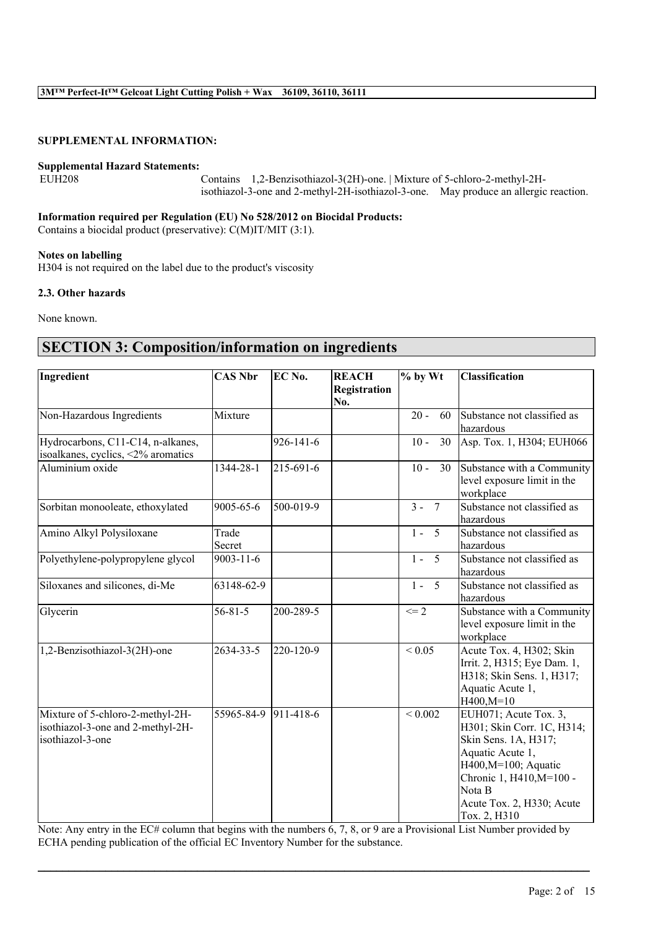## **SUPPLEMENTAL INFORMATION:**

### **Supplemental Hazard Statements:**

EUH208 Contains 1,2-Benzisothiazol-3(2H)-one. | Mixture of 5-chloro-2-methyl-2Hisothiazol-3-one and 2-methyl-2H-isothiazol-3-one. May produce an allergic reaction.

**Information required per Regulation (EU) No 528/2012 on Biocidal Products:**

Contains a biocidal product (preservative): C(M)IT/MIT (3:1).

#### **Notes on labelling**

H304 is not required on the label due to the product's viscosity

### **2.3. Other hazards**

None known.

# **SECTION 3: Composition/information on ingredients**

| Ingredient                                                                                | <b>CAS Nbr</b>              | EC No.          | <b>REACH</b><br>Registration<br>No. | $%$ by Wt                | <b>Classification</b>                                                                                                                                                                                      |
|-------------------------------------------------------------------------------------------|-----------------------------|-----------------|-------------------------------------|--------------------------|------------------------------------------------------------------------------------------------------------------------------------------------------------------------------------------------------------|
| Non-Hazardous Ingredients                                                                 | Mixture                     |                 |                                     | $20 -$<br>60             | Substance not classified as<br>hazardous                                                                                                                                                                   |
| Hydrocarbons, C11-C14, n-alkanes,<br>isoalkanes, cyclics, <2% aromatics                   |                             | 926-141-6       |                                     | $10 -$<br>30             | Asp. Tox. 1, H304; EUH066                                                                                                                                                                                  |
| Aluminium oxide                                                                           | 1344-28-1                   | 215-691-6       |                                     | $10 -$<br>30             | Substance with a Community<br>level exposure limit in the<br>workplace                                                                                                                                     |
| Sorbitan monooleate, ethoxylated                                                          | 9005-65-6                   | 500-019-9       |                                     | $3 -$<br>$7\phantom{.0}$ | Substance not classified as<br>hazardous                                                                                                                                                                   |
| Amino Alkyl Polysiloxane                                                                  | Trade<br>Secret             |                 |                                     | $1 - 5$                  | Substance not classified as<br>hazardous                                                                                                                                                                   |
| Polyethylene-polypropylene glycol                                                         | $9003 - 11 - 6$             |                 |                                     | $1 - 5$                  | Substance not classified as<br>hazardous                                                                                                                                                                   |
| Siloxanes and silicones, di-Me                                                            | 63148-62-9                  |                 |                                     | $5\overline{)}$<br>$1 -$ | Substance not classified as<br>hazardous                                                                                                                                                                   |
| Glycerin                                                                                  | $56 - 81 - 5$               | 200-289-5       |                                     | $\leq$ 2                 | Substance with a Community<br>level exposure limit in the<br>workplace                                                                                                                                     |
| 1,2-Benzisothiazol-3(2H)-one                                                              | 2634-33-5                   | 220-120-9       |                                     | ${}< 0.05$               | Acute Tox. 4, H302; Skin<br>Irrit. 2, H315; Eye Dam. 1,<br>H318; Skin Sens. 1, H317;<br>Aquatic Acute 1,<br>$H400, M=10$                                                                                   |
| Mixture of 5-chloro-2-methyl-2H-<br>isothiazol-3-one and 2-methyl-2H-<br>isothiazol-3-one | $\overline{55965 - 84 - 9}$ | $911 - 418 - 6$ |                                     | ${}< 0.002$              | EUH071; Acute Tox. 3,<br>H301; Skin Corr. 1C, H314;<br>Skin Sens. 1A, H317;<br>Aquatic Acute 1,<br>H400, M=100; Aquatic<br>Chronic 1, H410, M=100 -<br>Nota B<br>Acute Tox. 2, H330; Acute<br>Tox. 2, H310 |

Note: Any entry in the EC# column that begins with the numbers 6, 7, 8, or 9 are a Provisional List Number provided by ECHA pending publication of the official EC Inventory Number for the substance.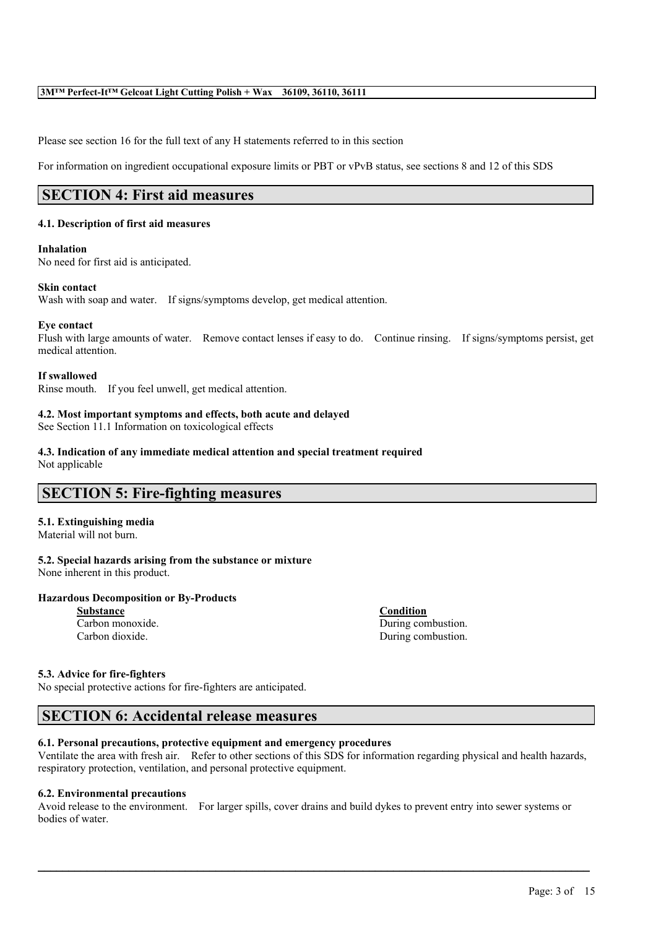Please see section 16 for the full text of any H statements referred to in this section

For information on ingredient occupational exposure limits or PBT or vPvB status, see sections 8 and 12 of this SDS

# **SECTION 4: First aid measures**

## **4.1. Description of first aid measures**

### **Inhalation**

No need for first aid is anticipated.

## **Skin contact**

Wash with soap and water. If signs/symptoms develop, get medical attention.

### **Eye contact**

Flush with large amounts of water. Remove contact lenses if easy to do. Continue rinsing. If signs/symptoms persist, get medical attention.

## **If swallowed**

Rinse mouth. If you feel unwell, get medical attention.

## **4.2. Most important symptoms and effects, both acute and delayed**

See Section 11.1 Information on toxicological effects

#### **4.3. Indication of any immediate medical attention and special treatment required** Not applicable

# **SECTION 5: Fire-fighting measures**

# **5.1. Extinguishing media**

Material will not burn.

## **5.2. Special hazards arising from the substance or mixture** None inherent in this product.

## **Hazardous Decomposition or By-Products**

**Substance Condition**

Carbon monoxide. During combustion. Carbon dioxide. During combustion.

## **5.3. Advice for fire-fighters**

No special protective actions for fire-fighters are anticipated.

## **SECTION 6: Accidental release measures**

## **6.1. Personal precautions, protective equipment and emergency procedures**

Ventilate the area with fresh air. Refer to other sections of this SDS for information regarding physical and health hazards, respiratory protection, ventilation, and personal protective equipment.

## **6.2. Environmental precautions**

Avoid release to the environment. For larger spills, cover drains and build dykes to prevent entry into sewer systems or bodies of water.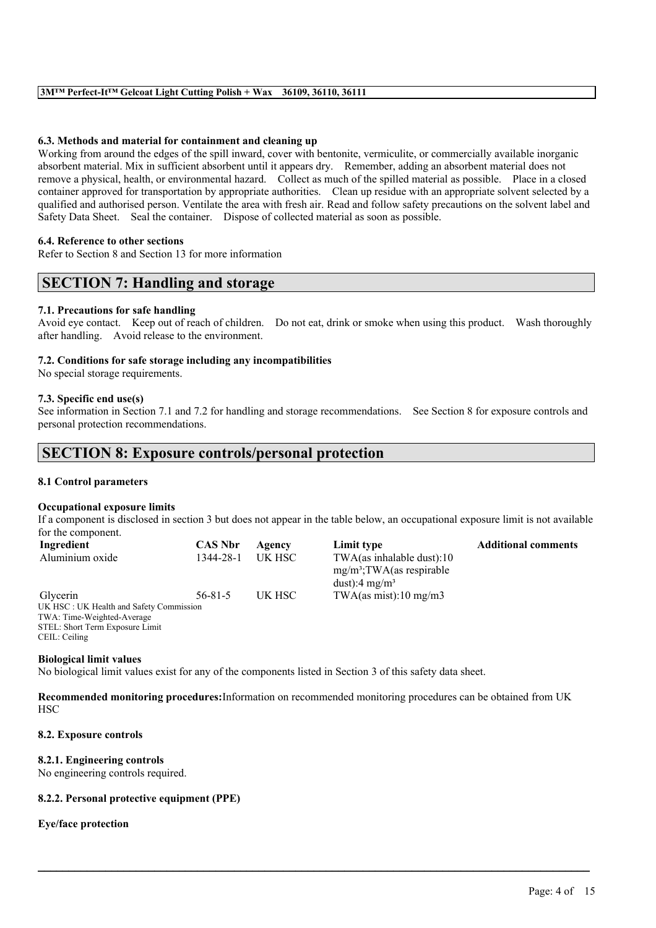## **6.3. Methods and material for containment and cleaning up**

Working from around the edges of the spill inward, cover with bentonite, vermiculite, or commercially available inorganic absorbent material. Mix in sufficient absorbent until it appears dry. Remember, adding an absorbent material does not remove a physical, health, or environmental hazard. Collect as much of the spilled material as possible. Place in a closed container approved for transportation by appropriate authorities. Clean up residue with an appropriate solvent selected by a qualified and authorised person. Ventilate the area with fresh air. Read and follow safety precautions on the solvent label and Safety Data Sheet. Seal the container. Dispose of collected material as soon as possible.

### **6.4. Reference to other sections**

Refer to Section 8 and Section 13 for more information

# **SECTION 7: Handling and storage**

### **7.1. Precautions for safe handling**

Avoid eye contact. Keep out of reach of children. Do not eat, drink or smoke when using this product. Wash thoroughly after handling. Avoid release to the environment.

### **7.2. Conditions for safe storage including any incompatibilities**

No special storage requirements.

### **7.3. Specific end use(s)**

See information in Section 7.1 and 7.2 for handling and storage recommendations. See Section 8 for exposure controls and personal protection recommendations.

## **SECTION 8: Exposure controls/personal protection**

#### **8.1 Control parameters**

#### **Occupational exposure limits**

If a component is disclosed in section 3 but does not appear in the table below, an occupational exposure limit is not available for the component.

| Ingredient                              | <b>CAS Nbr</b> | Agency | Limit type                                                   | <b>Additional comments</b> |
|-----------------------------------------|----------------|--------|--------------------------------------------------------------|----------------------------|
| Aluminium oxide                         | 1344-28-1      | UK HSC | $TWA$ (as inhalable dust):10<br>$mg/m^3$ ; TWA(as respirable |                            |
|                                         |                |        | dust):4 mg/m <sup>3</sup>                                    |                            |
| Glycerin                                | $56 - 81 - 5$  | UK HSC | TWA(as mist):10 mg/m3                                        |                            |
| UK HSC: UK Health and Safety Commission |                |        |                                                              |                            |
| TWA: Time-Weighted-Average              |                |        |                                                              |                            |
| STEL: Short Term Exposure Limit         |                |        |                                                              |                            |
| CEIL: Ceiling                           |                |        |                                                              |                            |

#### **Biological limit values**

No biological limit values exist for any of the components listed in Section 3 of this safety data sheet.

**Recommended monitoring procedures:**Information on recommended monitoring procedures can be obtained from UK **HSC** 

 $\mathcal{L}_\mathcal{L} = \mathcal{L}_\mathcal{L} = \mathcal{L}_\mathcal{L} = \mathcal{L}_\mathcal{L} = \mathcal{L}_\mathcal{L} = \mathcal{L}_\mathcal{L} = \mathcal{L}_\mathcal{L} = \mathcal{L}_\mathcal{L} = \mathcal{L}_\mathcal{L} = \mathcal{L}_\mathcal{L} = \mathcal{L}_\mathcal{L} = \mathcal{L}_\mathcal{L} = \mathcal{L}_\mathcal{L} = \mathcal{L}_\mathcal{L} = \mathcal{L}_\mathcal{L} = \mathcal{L}_\mathcal{L} = \mathcal{L}_\mathcal{L}$ 

#### **8.2. Exposure controls**

#### **8.2.1. Engineering controls**

No engineering controls required.

## **8.2.2. Personal protective equipment (PPE)**

**Eye/face protection**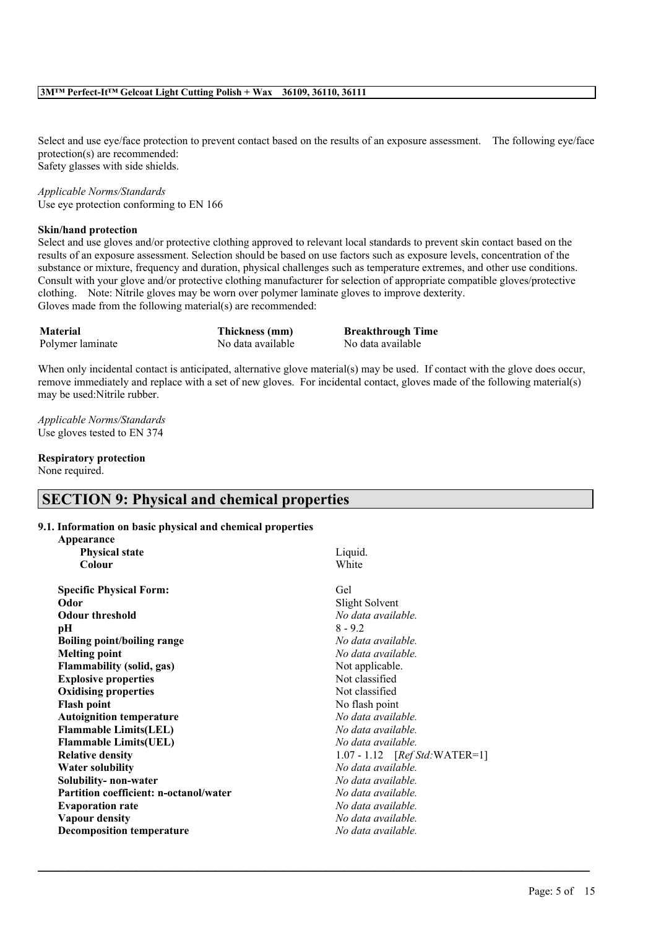Select and use eye/face protection to prevent contact based on the results of an exposure assessment. The following eye/face protection(s) are recommended: Safety glasses with side shields.

*Applicable Norms/Standards* Use eye protection conforming to EN 166

#### **Skin/hand protection**

Select and use gloves and/or protective clothing approved to relevant local standards to prevent skin contact based on the results of an exposure assessment. Selection should be based on use factors such as exposure levels, concentration of the substance or mixture, frequency and duration, physical challenges such as temperature extremes, and other use conditions. Consult with your glove and/or protective clothing manufacturer for selection of appropriate compatible gloves/protective clothing. Note: Nitrile gloves may be worn over polymer laminate gloves to improve dexterity. Gloves made from the following material(s) are recommended:

| <b>Material</b>  | Thickness (mm)    | <b>Breakthrough Time</b> |
|------------------|-------------------|--------------------------|
| Polymer laminate | No data available | No data available        |

When only incidental contact is anticipated, alternative glove material(s) may be used. If contact with the glove does occur, remove immediately and replace with a set of new gloves. For incidental contact, gloves made of the following material(s) may be used:Nitrile rubber.

*Applicable Norms/Standards* Use gloves tested to EN 374

**Respiratory protection**

None required.

# **SECTION 9: Physical and chemical properties**

## **9.1. Information on basic physical and chemical properties**

| Appearance                                    |                                |
|-----------------------------------------------|--------------------------------|
| <b>Physical state</b>                         | Liquid.                        |
| Colour                                        | White                          |
| <b>Specific Physical Form:</b>                | Gel                            |
| Odor                                          | Slight Solvent                 |
| <b>Odour threshold</b>                        | No data available.             |
| рH                                            | $8 - 9.2$                      |
| <b>Boiling point/boiling range</b>            | No data available.             |
| <b>Melting point</b>                          | No data available.             |
| <b>Flammability (solid, gas)</b>              | Not applicable.                |
| <b>Explosive properties</b>                   | Not classified                 |
| <b>Oxidising properties</b>                   | Not classified                 |
| <b>Flash point</b>                            | No flash point                 |
| <b>Autoignition temperature</b>               | No data available.             |
| <b>Flammable Limits(LEL)</b>                  | No data available.             |
| <b>Flammable Limits(UEL)</b>                  | No data available.             |
| <b>Relative density</b>                       | 1.07 - 1.12 $[RefStd:WATER=1]$ |
| <b>Water solubility</b>                       | No data available.             |
| Solubility- non-water                         | No data available.             |
| <b>Partition coefficient: n-octanol/water</b> | No data available.             |
| <b>Evaporation rate</b>                       | No data available.             |
| <b>Vapour density</b>                         | No data available.             |
| <b>Decomposition temperature</b>              | No data available.             |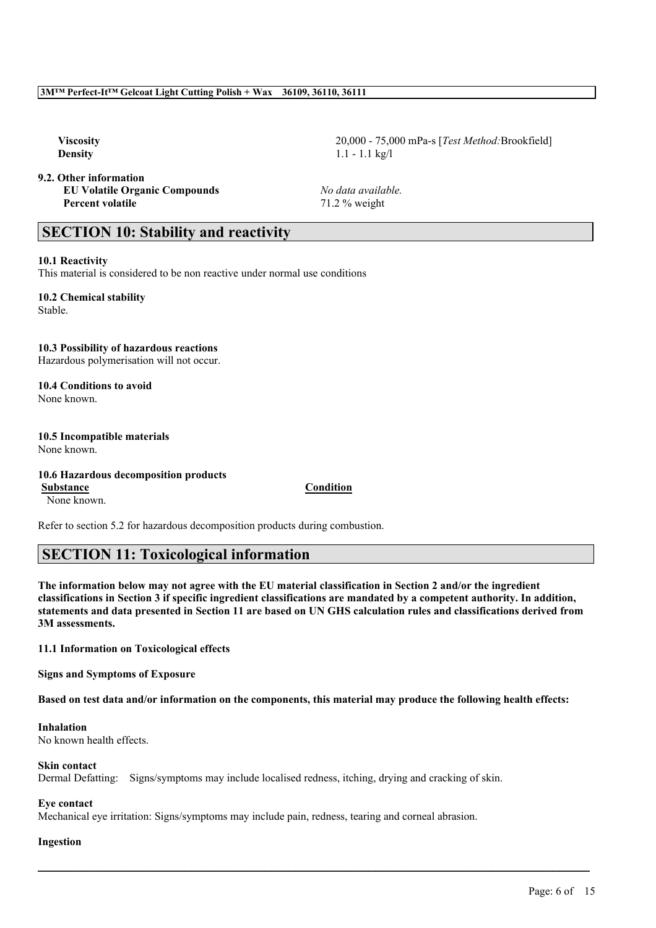### **9.2. Other information**

**EU Volatile Organic Compounds** *No data available.* **Percent volatile** 71.2 % weight

**Viscosity** 20,000 - 75,000 mPa-s [*Test Method:*Brookfield] **Density** 1.1 - 1.1 kg/l

# **SECTION 10: Stability and reactivity**

### **10.1 Reactivity**

This material is considered to be non reactive under normal use conditions

**10.2 Chemical stability** Stable.

## **10.3 Possibility of hazardous reactions**

Hazardous polymerisation will not occur.

#### **10.4 Conditions to avoid** None known.

**10.5 Incompatible materials** None known.

### **10.6 Hazardous decomposition products Substance Condition** None known.

Refer to section 5.2 for hazardous decomposition products during combustion.

# **SECTION 11: Toxicological information**

The information below may not agree with the EU material classification in Section 2 and/or the ingredient classifications in Section 3 if specific ingredient classifications are mandated by a competent authority. In addition, statements and data presented in Section 11 are based on UN GHS calculation rules and classifications derived from **3M assessments.**

## **11.1 Information on Toxicological effects**

**Signs and Symptoms of Exposure**

Based on test data and/or information on the components, this material may produce the following health effects:

 $\mathcal{L}_\mathcal{L} = \mathcal{L}_\mathcal{L} = \mathcal{L}_\mathcal{L} = \mathcal{L}_\mathcal{L} = \mathcal{L}_\mathcal{L} = \mathcal{L}_\mathcal{L} = \mathcal{L}_\mathcal{L} = \mathcal{L}_\mathcal{L} = \mathcal{L}_\mathcal{L} = \mathcal{L}_\mathcal{L} = \mathcal{L}_\mathcal{L} = \mathcal{L}_\mathcal{L} = \mathcal{L}_\mathcal{L} = \mathcal{L}_\mathcal{L} = \mathcal{L}_\mathcal{L} = \mathcal{L}_\mathcal{L} = \mathcal{L}_\mathcal{L}$ 

**Inhalation** No known health effects.

## **Skin contact**

Dermal Defatting: Signs/symptoms may include localised redness, itching, drying and cracking of skin.

## **Eye contact**

Mechanical eye irritation: Signs/symptoms may include pain, redness, tearing and corneal abrasion.

## **Ingestion**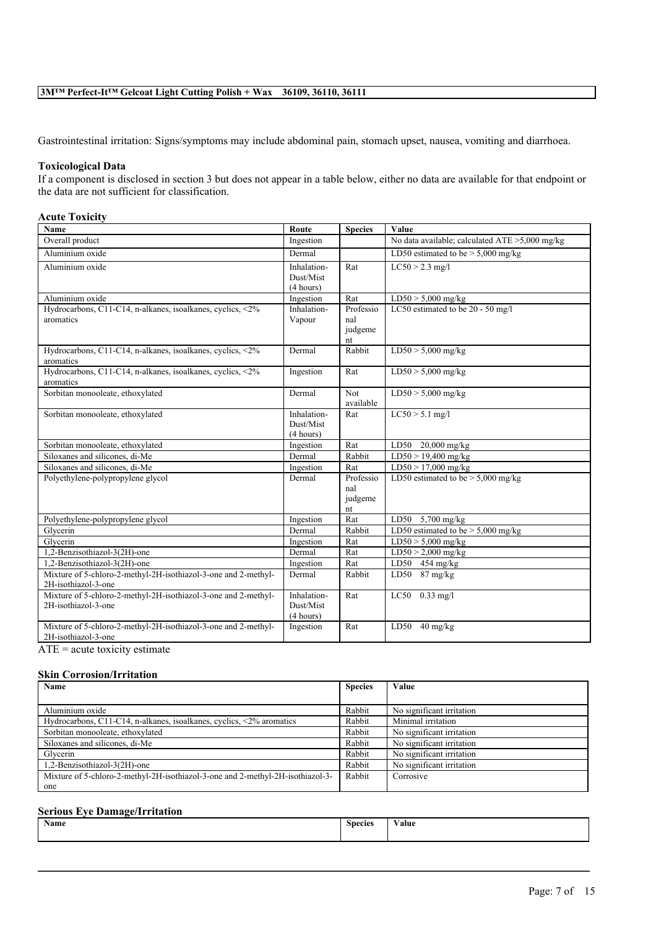Gastrointestinal irritation: Signs/symptoms may include abdominal pain, stomach upset, nausea, vomiting and diarrhoea.

## **Toxicological Data**

If a component is disclosed in section 3 but does not appear in a table below, either no data are available for that endpoint or the data are not sufficient for classification.

## **Acute Toxicity**

| Name                                                                                  | Route                                 | <b>Species</b>                       | Value                                          |
|---------------------------------------------------------------------------------------|---------------------------------------|--------------------------------------|------------------------------------------------|
| Overall product                                                                       | Ingestion                             |                                      | No data available; calculated ATE >5,000 mg/kg |
| Aluminium oxide                                                                       | Dermal                                |                                      | LD50 estimated to be $>$ 5,000 mg/kg           |
| Aluminium oxide                                                                       | Inhalation-<br>Dust/Mist              | Rat                                  | $LC50 > 2.3$ mg/l                              |
|                                                                                       | (4 hours)                             |                                      |                                                |
| Aluminium oxide                                                                       | Ingestion                             | Rat                                  | $LD50 > 5,000$ mg/kg                           |
| Hydrocarbons, C11-C14, n-alkanes, isoalkanes, cyclics, <2%                            | Inhalation-                           | Professio                            | LC50 estimated to be 20 - 50 mg/l              |
| aromatics                                                                             | Vapour                                | nal<br>judgeme<br>nt                 |                                                |
| Hydrocarbons, C11-C14, n-alkanes, isoalkanes, cyclics, <2%<br>aromatics               | Dermal                                | Rabbit                               | $LD50 > 5,000$ mg/kg                           |
| Hydrocarbons, C11-C14, n-alkanes, isoalkanes, cyclics, <2%<br>aromatics               | Ingestion                             | Rat                                  | $LD50 > 5,000$ mg/kg                           |
| Sorbitan monooleate, ethoxylated                                                      | Dermal                                | $\overline{\text{Not}}$<br>available | $LD50 > 5,000$ mg/kg                           |
| Sorbitan monooleate, ethoxylated                                                      | Inhalation-                           | Rat                                  | $LC50 > 5.1$ mg/l                              |
|                                                                                       | Dust/Mist<br>(4 hours)                |                                      |                                                |
| Sorbitan monooleate, ethoxylated                                                      | Ingestion                             | Rat                                  | LD50 20,000 mg/kg                              |
| Siloxanes and silicones, di-Me                                                        | Dermal                                | Rabbit                               | $LD50 > 19,400$ mg/kg                          |
| Siloxanes and silicones, di-Me                                                        | Ingestion                             | Rat                                  | $LD50 > 17,000$ mg/kg                          |
| Polyethylene-polypropylene glycol                                                     | Dermal                                | Professio                            | LD50 estimated to be $> 5,000$ mg/kg           |
|                                                                                       |                                       | nal                                  |                                                |
|                                                                                       |                                       | judgeme<br>nt                        |                                                |
| Polyethylene-polypropylene glycol                                                     | Ingestion                             | Rat                                  | LD50 $5,700$ mg/kg                             |
| Glycerin                                                                              | Dermal                                | Rabbit                               | LD50 estimated to be $> 5,000$ mg/kg           |
| Glycerin                                                                              | Ingestion                             | Rat                                  | $LD50 > 5,000$ mg/kg                           |
| 1,2-Benzisothiazol-3(2H)-one                                                          | Dermal                                | Rat                                  | $LD50 > 2,000$ mg/kg                           |
| 1,2-Benzisothiazol-3(2H)-one                                                          | Ingestion                             | Rat                                  | $LD50$ 454 mg/kg                               |
| Mixture of 5-chloro-2-methyl-2H-isothiazol-3-one and 2-methyl-<br>2H-isothiazol-3-one | Dermal                                | Rabbit                               | LD50<br>$87 \text{ mg/kg}$                     |
| Mixture of 5-chloro-2-methyl-2H-isothiazol-3-one and 2-methyl-<br>2H-isothiazol-3-one | Inhalation-<br>Dust/Mist<br>(4 hours) | Rat                                  | LC50 0.33 mg/l                                 |
| Mixture of 5-chloro-2-methyl-2H-isothiazol-3-one and 2-methyl-<br>2H-isothiazol-3-one | Ingestion                             | Rat                                  | LD50<br>$40 \text{ mg/kg}$                     |

 $\overline{ATE}$  = acute toxicity estimate

#### **Skin Corrosion/Irritation**

| <b>Species</b><br>Name                                                         |        | Value                     |
|--------------------------------------------------------------------------------|--------|---------------------------|
|                                                                                |        |                           |
| Aluminium oxide                                                                | Rabbit | No significant irritation |
| Hydrocarbons, C11-C14, n-alkanes, isoalkanes, cyclics, $\langle 2\%$ aromatics | Rabbit | Minimal irritation        |
| Sorbitan monooleate, ethoxylated                                               | Rabbit | No significant irritation |
| Siloxanes and silicones, di-Me                                                 | Rabbit | No significant irritation |
| Glycerin                                                                       | Rabbit | No significant irritation |
| 1,2-Benzisothiazol-3(2H)-one                                                   | Rabbit | No significant irritation |
| Mixture of 5-chloro-2-methyl-2H-isothiazol-3-one and 2-methyl-2H-isothiazol-3- | Rabbit | Corrosive                 |
| one                                                                            |        |                           |

## **Serious Eye Damage/Irritation**

| <b>Name</b> | $\sim$<br><b>Species</b> | $X$ $Y$ $Y$<br>√alue |
|-------------|--------------------------|----------------------|
|             |                          |                      |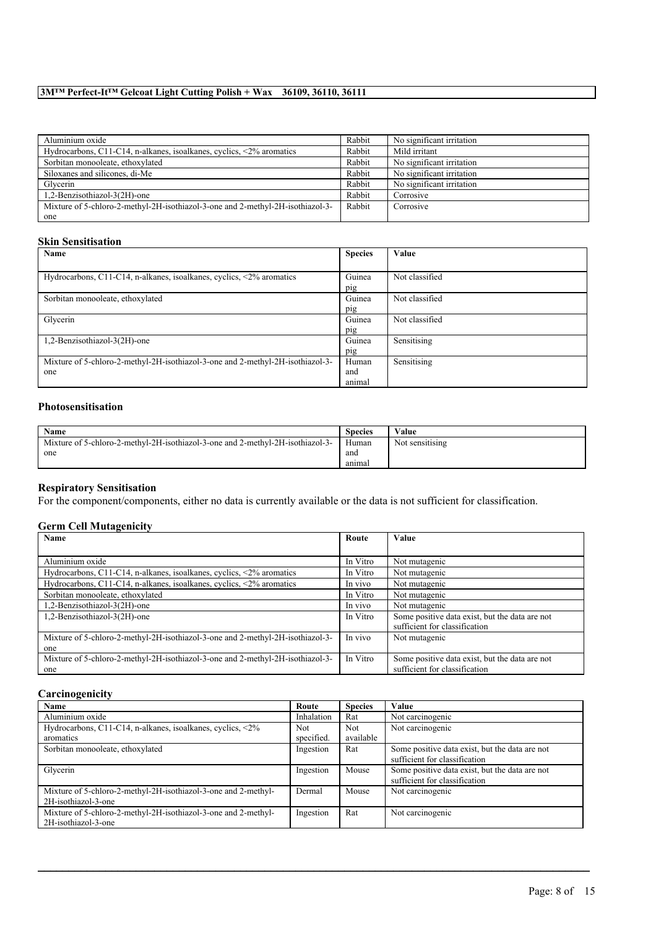| Aluminium oxide                                                                | Rabbit | No significant irritation |
|--------------------------------------------------------------------------------|--------|---------------------------|
| Hydrocarbons, C11-C14, n-alkanes, isoalkanes, cyclics, $\langle 2\%$ aromatics | Rabbit | Mild irritant             |
| Sorbitan monooleate, ethoxylated                                               | Rabbit | No significant irritation |
| Siloxanes and silicones, di-Me                                                 | Rabbit | No significant irritation |
| Glycerin                                                                       | Rabbit | No significant irritation |
| 1,2-Benzisothiazol-3(2H)-one                                                   | Rabbit | Corrosive                 |
| Mixture of 5-chloro-2-methyl-2H-isothiazol-3-one and 2-methyl-2H-isothiazol-3- | Rabbit | Corrosive                 |
| one                                                                            |        |                           |

### **Skin Sensitisation**

| Name                                                                           | <b>Species</b> | Value          |
|--------------------------------------------------------------------------------|----------------|----------------|
|                                                                                |                |                |
| Hydrocarbons, C11-C14, n-alkanes, isoalkanes, cyclics, $\langle 2\%$ aromatics | Guinea         | Not classified |
|                                                                                | pig            |                |
| Sorbitan monooleate, ethoxylated                                               | Guinea         | Not classified |
|                                                                                | pig            |                |
| Glycerin                                                                       | Guinea         | Not classified |
|                                                                                | pig            |                |
| 1,2-Benzisothiazol-3(2H)-one                                                   | Guinea         | Sensitising    |
|                                                                                | pig            |                |
| Mixture of 5-chloro-2-methyl-2H-isothiazol-3-one and 2-methyl-2H-isothiazol-3- | Human          | Sensitising    |
| one                                                                            | and            |                |
|                                                                                | animal         |                |

## **Photosensitisation**

| Name                                                                                  | <b>Species</b> | Value           |
|---------------------------------------------------------------------------------------|----------------|-----------------|
| Mixture of 5-chloro-2-methyl-2H-isothiazol-3-one and 2-methyl-2H-isothiazol-3-<br>one | Human<br>and   | Not sensitising |
|                                                                                       | animal         |                 |

# **Respiratory Sensitisation**

For the component/components, either no data is currently available or the data is not sufficient for classification.

## **Germ Cell Mutagenicity**

| Name                                                                           | Route    | Value                                          |
|--------------------------------------------------------------------------------|----------|------------------------------------------------|
|                                                                                |          |                                                |
| Aluminium oxide                                                                | In Vitro | Not mutagenic                                  |
| Hydrocarbons, C11-C14, n-alkanes, isoalkanes, cyclics, $\langle 2\%$ aromatics | In Vitro | Not mutagenic                                  |
| Hydrocarbons, C11-C14, n-alkanes, isoalkanes, cyclics, $\langle 2\%$ aromatics | In vivo  | Not mutagenic                                  |
| Sorbitan monooleate, ethoxylated                                               | In Vitro | Not mutagenic                                  |
| 1,2-Benzisothiazol-3(2H)-one                                                   | In vivo  | Not mutagenic                                  |
| 1,2-Benzisothiazol-3(2H)-one                                                   | In Vitro | Some positive data exist, but the data are not |
|                                                                                |          | sufficient for classification                  |
| Mixture of 5-chloro-2-methyl-2H-isothiazol-3-one and 2-methyl-2H-isothiazol-3- | In vivo  | Not mutagenic                                  |
| one                                                                            |          |                                                |
| Mixture of 5-chloro-2-methyl-2H-isothiazol-3-one and 2-methyl-2H-isothiazol-3- | In Vitro | Some positive data exist, but the data are not |
| one                                                                            |          | sufficient for classification                  |

## **Carcinogenicity**

| Name                                                                         | Route      | <b>Species</b> | Value                                          |
|------------------------------------------------------------------------------|------------|----------------|------------------------------------------------|
| Aluminium oxide                                                              | Inhalation | Rat            | Not carcinogenic                               |
| Hydrocarbons, C11-C14, n-alkanes, isoalkanes, cyclics, $\langle 2\% \rangle$ | Not        | <b>Not</b>     | Not carcinogenic                               |
| aromatics                                                                    | specified. | available      |                                                |
| Sorbitan monooleate, ethoxylated                                             | Ingestion  | Rat            | Some positive data exist, but the data are not |
|                                                                              |            |                | sufficient for classification                  |
| Glycerin                                                                     | Ingestion  | Mouse          | Some positive data exist, but the data are not |
|                                                                              |            |                | sufficient for classification                  |
| Mixture of 5-chloro-2-methyl-2H-isothiazol-3-one and 2-methyl-               | Dermal     | Mouse          | Not carcinogenic                               |
| 2H-isothiazol-3-one                                                          |            |                |                                                |
| Mixture of 5-chloro-2-methyl-2H-isothiazol-3-one and 2-methyl-               | Ingestion  | Rat            | Not carcinogenic                               |
| 2H-isothiazol-3-one                                                          |            |                |                                                |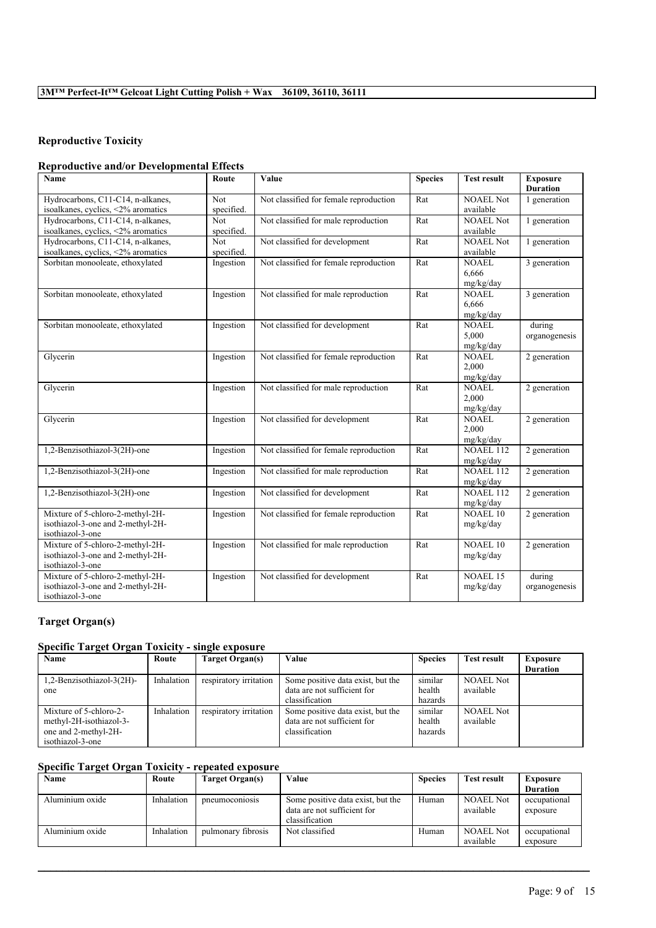## **Reproductive Toxicity**

## **Reproductive and/or Developmental Effects**

| <b>Name</b>                                                                               | Route                    | Value                                  | <b>Species</b> | <b>Test result</b>                 | <b>Exposure</b><br><b>Duration</b> |
|-------------------------------------------------------------------------------------------|--------------------------|----------------------------------------|----------------|------------------------------------|------------------------------------|
| Hydrocarbons, C11-C14, n-alkanes,<br>isoalkanes, cyclics, <2% aromatics                   | <b>Not</b><br>specified. | Not classified for female reproduction | Rat            | <b>NOAEL Not</b><br>available      | 1 generation                       |
| Hydrocarbons, C11-C14, n-alkanes,<br>isoalkanes, cyclics, <2% aromatics                   | Not<br>specified.        | Not classified for male reproduction   | Rat            | <b>NOAEL Not</b><br>available      | 1 generation                       |
| Hydrocarbons, C11-C14, n-alkanes,<br>isoalkanes, cyclics, <2% aromatics                   | Not<br>specified.        | Not classified for development         | Rat            | <b>NOAEL Not</b><br>available      | 1 generation                       |
| Sorbitan monooleate, ethoxylated                                                          | Ingestion                | Not classified for female reproduction | Rat            | <b>NOAEL</b><br>6.666<br>mg/kg/day | 3 generation                       |
| Sorbitan monooleate, ethoxylated                                                          | Ingestion                | Not classified for male reproduction   | Rat            | <b>NOAEL</b><br>6.666<br>mg/kg/day | 3 generation                       |
| Sorbitan monooleate, ethoxylated                                                          | Ingestion                | Not classified for development         | Rat            | <b>NOAEL</b><br>5,000<br>mg/kg/day | during<br>organogenesis            |
| Glycerin                                                                                  | Ingestion                | Not classified for female reproduction | Rat            | <b>NOAEL</b><br>2,000<br>mg/kg/day | 2 generation                       |
| Glycerin                                                                                  | Ingestion                | Not classified for male reproduction   | Rat            | <b>NOAEL</b><br>2.000<br>mg/kg/day | 2 generation                       |
| Glycerin                                                                                  | Ingestion                | Not classified for development         | Rat            | NOAEL<br>2,000<br>mg/kg/day        | 2 generation                       |
| 1,2-Benzisothiazol-3(2H)-one                                                              | Ingestion                | Not classified for female reproduction | Rat            | <b>NOAEL 112</b><br>mg/kg/day      | 2 generation                       |
| 1,2-Benzisothiazol-3(2H)-one                                                              | Ingestion                | Not classified for male reproduction   | Rat            | <b>NOAEL 112</b><br>mg/kg/day      | 2 generation                       |
| 1,2-Benzisothiazol-3(2H)-one                                                              | Ingestion                | Not classified for development         | Rat            | <b>NOAEL 112</b><br>mg/kg/day      | 2 generation                       |
| Mixture of 5-chloro-2-methyl-2H-<br>isothiazol-3-one and 2-methyl-2H-<br>isothiazol-3-one | Ingestion                | Not classified for female reproduction | Rat            | <b>NOAEL 10</b><br>mg/kg/day       | 2 generation                       |
| Mixture of 5-chloro-2-methyl-2H-<br>isothiazol-3-one and 2-methyl-2H-<br>isothiazol-3-one | Ingestion                | Not classified for male reproduction   | Rat            | <b>NOAEL 10</b><br>mg/kg/day       | 2 generation                       |
| Mixture of 5-chloro-2-methyl-2H-<br>isothiazol-3-one and 2-methyl-2H-<br>isothiazol-3-one | Ingestion                | Not classified for development         | Rat            | <b>NOAEL 15</b><br>mg/kg/day       | during<br>organogenesis            |

## **Target Organ(s)**

## **Specific Target Organ Toxicity - single exposure**

| Name                      | Route      | Target Organ(s)        | Value                             | <b>Species</b> | <b>Test result</b> | <b>Exposure</b> |
|---------------------------|------------|------------------------|-----------------------------------|----------------|--------------------|-----------------|
|                           |            |                        |                                   |                |                    | <b>Duration</b> |
| 1,2-Benzisothiazol-3(2H)- | Inhalation | respiratory irritation | Some positive data exist, but the | similar        | <b>NOAEL Not</b>   |                 |
| one                       |            |                        | data are not sufficient for       | health         | available          |                 |
|                           |            |                        | classification                    | hazards        |                    |                 |
| Mixture of 5-chloro-2-    | Inhalation | respiratory irritation | Some positive data exist, but the | similar        | <b>NOAEL Not</b>   |                 |
| methyl-2H-isothiazol-3-   |            |                        | data are not sufficient for       | health         | available          |                 |
| one and 2-methyl-2H-      |            |                        | classification                    | hazards        |                    |                 |
| isothiazol-3-one          |            |                        |                                   |                |                    |                 |

## **Specific Target Organ Toxicity - repeated exposure**

| Name            | Route      | Target Organ(s)    | Value                                                            | <b>Species</b> | <b>Test result</b>            | Exposure        |
|-----------------|------------|--------------------|------------------------------------------------------------------|----------------|-------------------------------|-----------------|
|                 |            |                    |                                                                  |                |                               | <b>Duration</b> |
| Aluminium oxide | Inhalation | pneumoconiosis     | Some positive data exist, but the<br>data are not sufficient for | Human          | <b>NOAEL Not</b><br>available | occupational    |
|                 |            |                    | classification                                                   |                |                               | exposure        |
| Aluminium oxide | Inhalation | pulmonary fibrosis | Not classified                                                   | Human          | <b>NOAEL Not</b>              | occupational    |
|                 |            |                    |                                                                  |                | available                     | exposure        |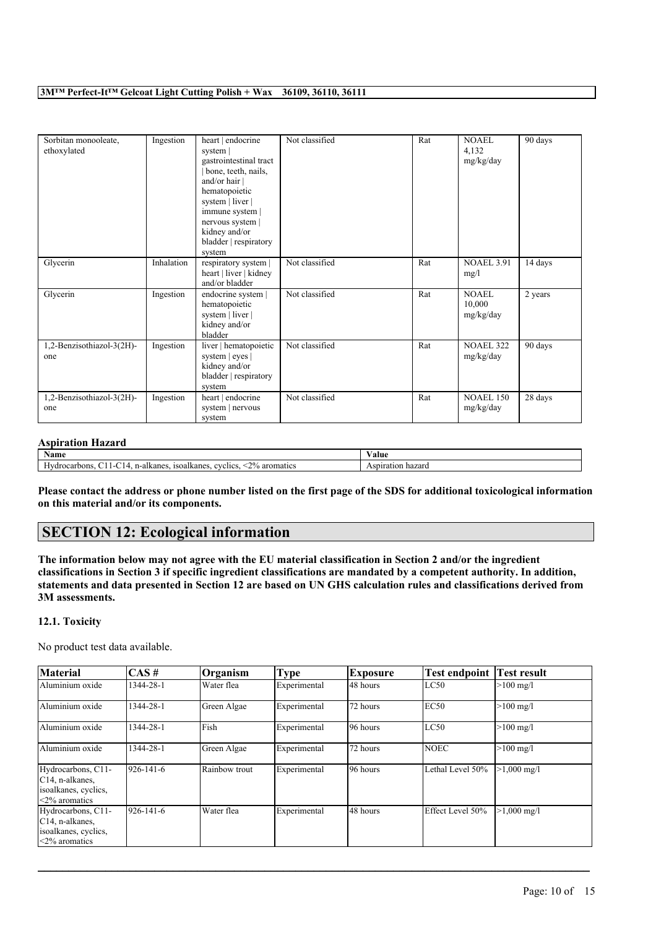| Sorbitan monooleate,<br>ethoxylated | Ingestion  | heart   endocrine<br>system  <br>gastrointestinal tract<br>bone, teeth, nails,<br>and/or hair  <br>hematopoietic<br>system   liver  <br>immune system  <br>nervous system  <br>kidney and/or<br>bladder   respiratory<br>system | Not classified | Rat | <b>NOAEL</b><br>4,132<br>mg/kg/day | 90 days |
|-------------------------------------|------------|---------------------------------------------------------------------------------------------------------------------------------------------------------------------------------------------------------------------------------|----------------|-----|------------------------------------|---------|
| Glycerin                            | Inhalation | respiratory system  <br>heart   liver   kidney<br>and/or bladder                                                                                                                                                                | Not classified | Rat | <b>NOAEL 3.91</b><br>mg/l          | 14 days |
| Glycerin                            | Ingestion  | endocrine system  <br>hematopoietic<br>system   liver  <br>kidney and/or<br>bladder                                                                                                                                             | Not classified | Rat | NOAEL<br>10,000<br>mg/kg/day       | 2 years |
| 1,2-Benzisothiazol-3(2H)-<br>one    | Ingestion  | liver   hematopoietic<br>system   eyes  <br>kidney and/or<br>bladder   respiratory<br>system                                                                                                                                    | Not classified | Rat | <b>NOAEL 322</b><br>mg/kg/day      | 90 days |
| 1,2-Benzisothiazol-3(2H)-<br>one    | Ingestion  | heart   endocrine<br>system   nervous<br>system                                                                                                                                                                                 | Not classified | Rat | <b>NOAEL 150</b><br>mg/kg/day      | 28 days |

## **Aspiration Hazard**

| <b>Name</b>                                                           | Value                                           |
|-----------------------------------------------------------------------|-------------------------------------------------|
| 2% aromatics<br>-isoalkanes<br>cyclics<br>ocarbons<br>n-alkanes.<br>4 | Aspiration<br>$\Delta$ C <sup>+</sup><br>hazarc |

Please contact the address or phone number listed on the first page of the SDS for additional toxicological information **on this material and/or its components.**

# **SECTION 12: Ecological information**

The information below may not agree with the EU material classification in Section 2 and/or the ingredient classifications in Section 3 if specific ingredient classifications are mandated by a competent authority. In addition, statements and data presented in Section 12 are based on UN GHS calculation rules and classifications derived from **3M assessments.**

## **12.1. Toxicity**

No product test data available.

| <b>Material</b>                                                                                   | ICAS #           | <b>Organism</b> | <b>Type</b>  | Exposure  | <b>Test endpoint</b> | <b>Test result</b>    |
|---------------------------------------------------------------------------------------------------|------------------|-----------------|--------------|-----------|----------------------|-----------------------|
| Aluminium oxide                                                                                   | 1344-28-1        | Water flea      | Experimental | 148 hours | LC50                 | $>100$ mg/l           |
| Aluminium oxide                                                                                   | 1344-28-1        | Green Algae     | Experimental | 72 hours  | EC50                 | $>100$ mg/l           |
| Aluminium oxide                                                                                   | 1344-28-1        | Fish            | Experimental | 96 hours  | LC50                 | $>100$ mg/l           |
| Aluminium oxide                                                                                   | 1344-28-1        | Green Algae     | Experimental | 72 hours  | <b>NOEC</b>          | $>100$ mg/l           |
| Hydrocarbons, C11-<br>C <sub>14</sub> , n-alkanes,<br>isoalkanes, cyclics,<br>$<$ 2% aromatics    | $1926 - 141 - 6$ | Rainbow trout   | Experimental | 96 hours  | Lethal Level 50%     | $>1,000 \text{ mg/l}$ |
| Hydrocarbons, C11-<br>C <sub>14</sub> , n-alkanes,<br>isoalkanes, cyclics,<br>$\leq$ 2% aromatics | $1926 - 141 - 6$ | Water flea      | Experimental | 48 hours  | Effect Level 50%     | $>1,000 \text{ mg/l}$ |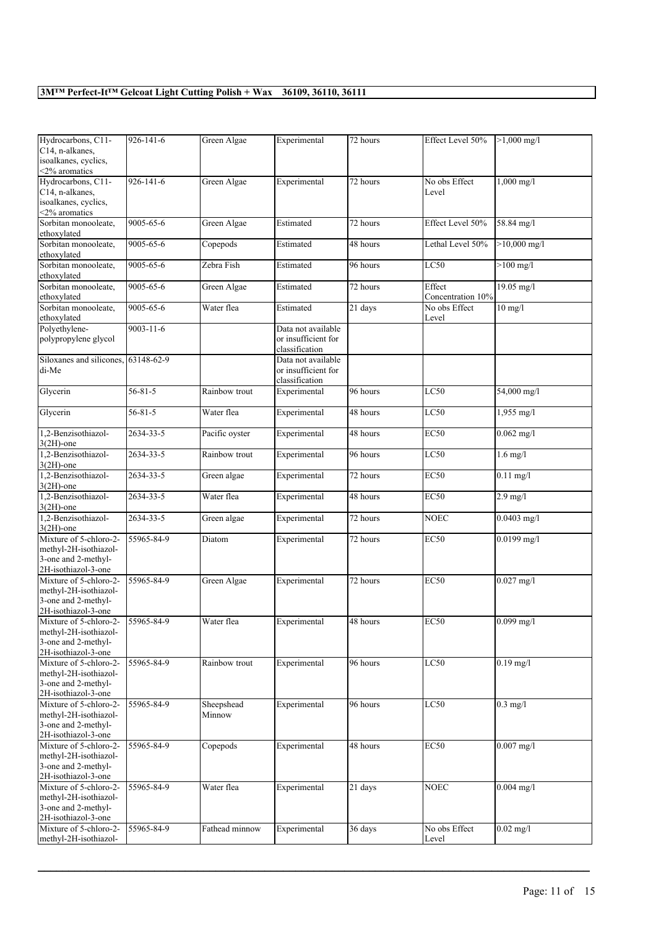| Hydrocarbons, C11-                  | 926-141-6       | Green Algae    | Experimental        | 72 hours | Effect Level 50%  | $>1,000$ mg/l        |
|-------------------------------------|-----------------|----------------|---------------------|----------|-------------------|----------------------|
| C14, n-alkanes,                     |                 |                |                     |          |                   |                      |
| isoalkanes, cyclics,                |                 |                |                     |          |                   |                      |
| <2% aromatics                       |                 |                |                     |          |                   |                      |
| Hydrocarbons, C11-                  | 926-141-6       | Green Algae    | Experimental        | 72 hours | No obs Effect     | 1,000 mg/l           |
| C14, n-alkanes,                     |                 |                |                     |          | Level             |                      |
| isoalkanes, cyclics,                |                 |                |                     |          |                   |                      |
| <2% aromatics                       |                 |                |                     |          |                   |                      |
| Sorbitan monooleate,                | 9005-65-6       | Green Algae    | Estimated           | 72 hours | Effect Level 50%  | 58.84 mg/l           |
| ethoxylated                         |                 |                |                     |          |                   |                      |
| Sorbitan monooleate,                | 9005-65-6       | Copepods       | Estimated           | 48 hours | Lethal Level 50%  | $>10,000$ mg/l       |
| ethoxylated                         |                 |                |                     |          |                   |                      |
| Sorbitan monooleate,                | 9005-65-6       | Zebra Fish     | Estimated           | 96 hours | LC50              | $>100$ mg/l          |
| ethoxylated                         |                 |                |                     |          |                   |                      |
| Sorbitan monooleate,                | 9005-65-6       | Green Algae    | Estimated           | 72 hours | Effect            | 19.05 mg/l           |
| ethoxylated                         |                 |                |                     |          | Concentration 10% |                      |
| Sorbitan monooleate,                | 9005-65-6       | Water flea     | Estimated           | 21 days  | No obs Effect     | $10$ mg/l            |
| ethoxylated                         |                 |                |                     |          | Level             |                      |
| Polyethylene-                       | $9003 - 11 - 6$ |                | Data not available  |          |                   |                      |
| polypropylene glycol                |                 |                | or insufficient for |          |                   |                      |
|                                     |                 |                | classification      |          |                   |                      |
| Siloxanes and silicones, 63148-62-9 |                 |                | Data not available  |          |                   |                      |
| di-Me                               |                 |                | or insufficient for |          |                   |                      |
|                                     |                 |                | classification      |          |                   |                      |
| Glycerin                            | $56 - 81 - 5$   | Rainbow trout  | Experimental        | 96 hours | LC50              | 54,000 mg/l          |
|                                     |                 |                |                     |          |                   |                      |
| Glycerin                            | $56 - 81 - 5$   | Water flea     | Experimental        | 48 hours | LC50              | $1,955 \text{ mg/l}$ |
|                                     |                 |                |                     |          |                   |                      |
| 1.2-Benzisothiazol-                 | 2634-33-5       | Pacific oyster | Experimental        | 48 hours | <b>EC50</b>       | $0.062$ mg/l         |
| $3(2H)$ -one                        |                 |                |                     |          |                   |                      |
| 1,2-Benzisothiazol-                 | 2634-33-5       | Rainbow trout  | Experimental        | 96 hours | LC50              | $1.6$ mg/l           |
| $3(2H)$ -one                        |                 |                |                     |          |                   |                      |
| 1,2-Benzisothiazol-                 | 2634-33-5       | Green algae    | Experimental        | 72 hours | <b>EC50</b>       | $0.11$ mg/l          |
| $3(2H)$ -one                        |                 |                |                     |          |                   |                      |
| 1.2-Benzisothiazol-                 | 2634-33-5       | Water flea     | Experimental        | 48 hours | <b>EC50</b>       | $2.9$ mg/l           |
| $3(2H)$ -one                        |                 |                |                     |          |                   |                      |
| 1,2-Benzisothiazol-                 | 2634-33-5       | Green algae    | Experimental        | 72 hours | <b>NOEC</b>       | $0.0403$ mg/l        |
| $3(2H)$ -one                        |                 |                |                     |          |                   |                      |
| Mixture of 5-chloro-2-              | 55965-84-9      | Diatom         | Experimental        | 72 hours | <b>EC50</b>       | $0.0199$ mg/l        |
| methyl-2H-isothiazol-               |                 |                |                     |          |                   |                      |
| 3-one and 2-methyl-                 |                 |                |                     |          |                   |                      |
| 2H-isothiazol-3-one                 |                 |                |                     |          |                   |                      |
| Mixture of 5-chloro-2-              | 55965-84-9      | Green Algae    | Experimental        | 72 hours | <b>EC50</b>       | $0.027$ mg/l         |
| methyl-2H-isothiazol-               |                 |                |                     |          |                   |                      |
| 3-one and 2-methyl-                 |                 |                |                     |          |                   |                      |
| 2H-isothiazol-3-one                 |                 |                |                     |          |                   |                      |
| Mixture of 5-chloro-2-              | 55965-84-9      | Water flea     | Experimental        | 48 hours | <b>EC50</b>       | $0.099$ mg/l         |
| methyl-2H-isothiazol-               |                 |                |                     |          |                   |                      |
| 3-one and 2-methyl-                 |                 |                |                     |          |                   |                      |
| 2H-isothiazol-3-one                 |                 |                |                     |          |                   |                      |
| Mixture of 5-chloro-2-              | 55965-84-9      | Rainbow trout  | Experimental        | 96 hours | LC50              | $0.19$ mg/l          |
| methyl-2H-isothiazol-               |                 |                |                     |          |                   |                      |
| 3-one and 2-methyl-                 |                 |                |                     |          |                   |                      |
| 2H-isothiazol-3-one                 |                 |                |                     |          |                   |                      |
| Mixture of 5-chloro-2-              | 55965-84-9      | Sheepshead     | Experimental        | 96 hours | LC50              | $0.3$ mg/l           |
| methyl-2H-isothiazol-               |                 | Minnow         |                     |          |                   |                      |
| 3-one and 2-methyl-                 |                 |                |                     |          |                   |                      |
| 2H-isothiazol-3-one                 |                 |                |                     |          |                   |                      |
| Mixture of 5-chloro-2-              | 55965-84-9      | Copepods       | Experimental        | 48 hours | <b>EC50</b>       | $0.007$ mg/l         |
| methyl-2H-isothiazol-               |                 |                |                     |          |                   |                      |
| 3-one and 2-methyl-                 |                 |                |                     |          |                   |                      |
| 2H-isothiazol-3-one                 |                 |                |                     |          |                   |                      |
| Mixture of 5-chloro-2-              | 55965-84-9      | Water flea     | Experimental        | 21 days  | <b>NOEC</b>       | $0.004$ mg/l         |
| methyl-2H-isothiazol-               |                 |                |                     |          |                   |                      |
| 3-one and 2-methyl-                 |                 |                |                     |          |                   |                      |
| 2H-isothiazol-3-one                 |                 |                |                     |          |                   |                      |
| Mixture of 5-chloro-2-              | 55965-84-9      | Fathead minnow | Experimental        | 36 days  | No obs Effect     | $0.02$ mg/l          |
| methyl-2H-isothiazol-               |                 |                |                     |          | Level             |                      |
|                                     |                 |                |                     |          |                   |                      |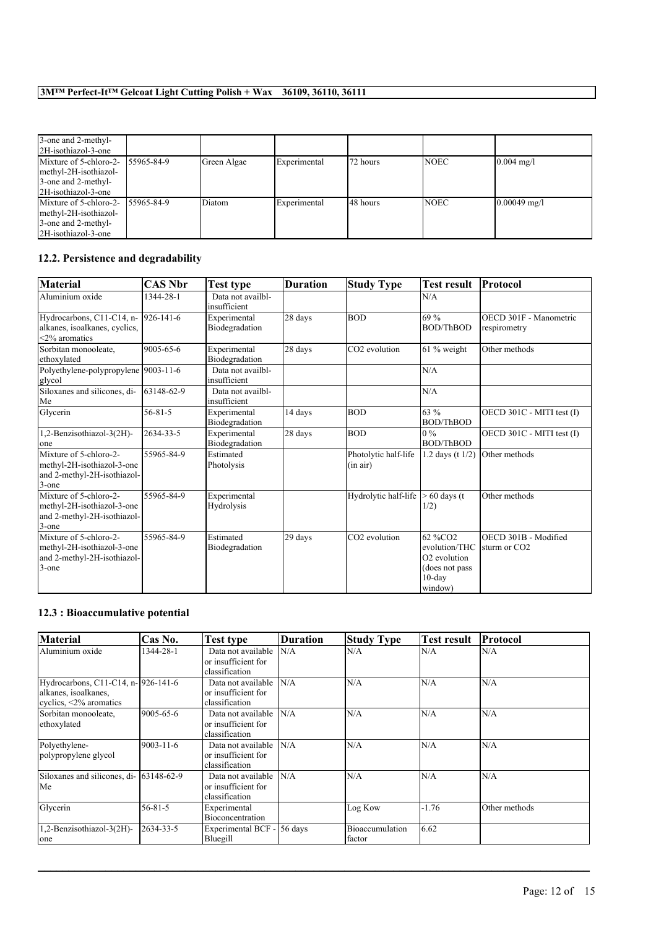| 3-one and 2-methyl-<br>2H-isothiazol-3-one                                                                |             |              |           |             |                |
|-----------------------------------------------------------------------------------------------------------|-------------|--------------|-----------|-------------|----------------|
| Mixture of 5-chloro-2- 155965-84-9<br>methyl-2H-isothiazol-<br>3-one and 2-methyl-<br>2H-isothiazol-3-one | Green Algae | Experimental | 72 hours  | <b>NOEC</b> | $0.004$ mg/l   |
| Mixture of 5-chloro-2- 155965-84-9<br>methyl-2H-isothiazol-<br>3-one and 2-methyl-<br>2H-isothiazol-3-one | Diatom      | Experimental | 148 hours | <b>NOEC</b> | $0.00049$ mg/l |

## **12.2. Persistence and degradability**

| <b>Material</b>                                                                                 | <b>CAS Nbr</b> | Test type                         | <b>Duration</b> | <b>Study Type</b>                | <b>Test result</b>                                                                              | Protocol                                         |
|-------------------------------------------------------------------------------------------------|----------------|-----------------------------------|-----------------|----------------------------------|-------------------------------------------------------------------------------------------------|--------------------------------------------------|
| Aluminium oxide                                                                                 | 1344-28-1      | Data not availbl-<br>insufficient |                 |                                  | N/A                                                                                             |                                                  |
| Hydrocarbons, C11-C14, n-<br>alkanes, isoalkanes, cyclics,<br>$<$ 2% aromatics                  | 926-141-6      | Experimental<br>Biodegradation    | 28 days         | <b>BOD</b>                       | 69 %<br><b>BOD/ThBOD</b>                                                                        | OECD 301F - Manometric<br>respirometry           |
| Sorbitan monooleate,<br>ethoxylated                                                             | 9005-65-6      | Experimental<br>Biodegradation    | 28 days         | CO2 evolution                    | $61\%$ weight                                                                                   | Other methods                                    |
| Polyethylene-polypropylene 9003-11-6<br>glycol                                                  |                | Data not availbl-<br>insufficient |                 |                                  | N/A                                                                                             |                                                  |
| Siloxanes and silicones, di-<br>Me                                                              | 63148-62-9     | Data not availbl-<br>insufficient |                 |                                  | N/A                                                                                             |                                                  |
| Glycerin                                                                                        | $56 - 81 - 5$  | Experimental<br>Biodegradation    | 14 days         | <b>BOD</b>                       | 63 %<br><b>BOD/ThBOD</b>                                                                        | OECD 301C - MITI test (I)                        |
| 1,2-Benzisothiazol-3(2H)-<br>one                                                                | 2634-33-5      | Experimental<br>Biodegradation    | 28 days         | <b>BOD</b>                       | $0\%$<br><b>BOD/ThBOD</b>                                                                       | OECD 301C - MITI test (I)                        |
| Mixture of 5-chloro-2-<br>methyl-2H-isothiazol-3-one<br>and 2-methyl-2H-isothiazol-<br>3-one    | 55965-84-9     | Estimated<br>Photolysis           |                 | Photolytic half-life<br>(in air) | 1.2 days (t $1/2$ )                                                                             | Other methods                                    |
| Mixture of 5-chloro-2-<br>methyl-2H-isothiazol-3-one<br>and 2-methyl-2H-isothiazol-<br>3-one    | 55965-84-9     | Experimental<br>Hydrolysis        |                 | Hydrolytic half-life             | $> 60$ days (t)<br>1/2)                                                                         | Other methods                                    |
| Mixture of 5-chloro-2-<br>methyl-2H-isothiazol-3-one<br>and 2-methyl-2H-isothiazol-<br>$3$ -one | 55965-84-9     | Estimated<br>Biodegradation       | 29 days         | CO2 evolution                    | 62 %CO2<br>evolution/THC<br>O <sub>2</sub> evolution<br>(does not pass)<br>$10$ -day<br>window) | OECD 301B - Modified<br>sturm or CO <sub>2</sub> |

## **12.3 : Bioaccumulative potential**

| <b>Material</b>                                                                              | Cas No.         | Test type                                                   | <b>Duration</b> | <b>Study Type</b>          | Test result | Protocol      |
|----------------------------------------------------------------------------------------------|-----------------|-------------------------------------------------------------|-----------------|----------------------------|-------------|---------------|
| Aluminium oxide                                                                              | 1344-28-1       | Data not available<br>or insufficient for<br>classification | N/A             | N/A                        | N/A         | N/A           |
| Hydrocarbons, C11-C14, n-1926-141-6<br>alkanes, isoalkanes,<br>cyclics, $\leq 2\%$ aromatics |                 | Data not available<br>or insufficient for<br>classification | N/A             | N/A                        | N/A         | N/A           |
| Sorbitan monooleate,<br>ethoxylated                                                          | 9005-65-6       | Data not available<br>or insufficient for<br>classification | N/A             | N/A                        | N/A         | N/A           |
| Polyethylene-<br>polypropylene glycol                                                        | $9003 - 11 - 6$ | Data not available<br>or insufficient for<br>classification | N/A             | N/A                        | N/A         | N/A           |
| Siloxanes and silicones, di- 63148-62-9<br>Me                                                |                 | Data not available<br>or insufficient for<br>classification | N/A             | N/A                        | N/A         | N/A           |
| Glycerin                                                                                     | $56 - 81 - 5$   | Experimental<br>Bioconcentration                            |                 | Log Kow                    | $-1.76$     | Other methods |
| 1,2-Benzisothiazol-3(2H)-<br>one                                                             | 2634-33-5       | Experimental BCF - 56 days<br>Bluegill                      |                 | Bioaccumulation<br>rfactor | 16.62       |               |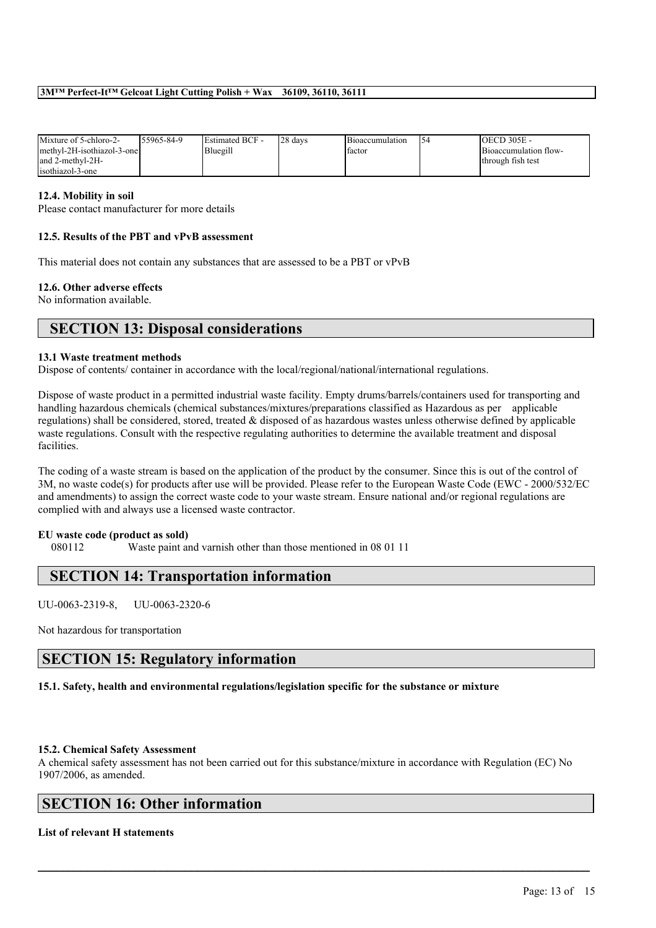| Mixture of 5-chloro-2-     | 155965-84-9 | <b>Estimated BCF -</b> | 28 days | Bioaccumulation | 54 | <b>OECD 305E -</b>    |
|----------------------------|-------------|------------------------|---------|-----------------|----|-----------------------|
| methyl-2H-isothiazol-3-one |             | Bluegill               |         | factor          |    | Bioaccumulation flow- |
| and 2-methyl-2H-           |             |                        |         |                 |    | through fish test     |
| isothiazol-3-one           |             |                        |         |                 |    |                       |

## **12.4. Mobility in soil**

Please contact manufacturer for more details

## **12.5. Results of the PBT and vPvB assessment**

This material does not contain any substances that are assessed to be a PBT or vPvB

#### **12.6. Other adverse effects**

No information available.

## **SECTION 13: Disposal considerations**

#### **13.1 Waste treatment methods**

Dispose of contents/ container in accordance with the local/regional/national/international regulations.

Dispose of waste product in a permitted industrial waste facility. Empty drums/barrels/containers used for transporting and handling hazardous chemicals (chemical substances/mixtures/preparations classified as Hazardous as per applicable regulations) shall be considered, stored, treated & disposed of as hazardous wastes unless otherwise defined by applicable waste regulations. Consult with the respective regulating authorities to determine the available treatment and disposal facilities.

The coding of a waste stream is based on the application of the product by the consumer. Since this is out of the control of 3M, no waste code(s) for products after use will be provided. Please refer to the European Waste Code (EWC - 2000/532/EC and amendments) to assign the correct waste code to your waste stream. Ensure national and/or regional regulations are complied with and always use a licensed waste contractor.

## **EU waste code (product as sold)**

080112 Waste paint and varnish other than those mentioned in 08 01 11

# **SECTION 14: Transportation information**

UU-0063-2319-8, UU-0063-2320-6

Not hazardous for transportation

## **SECTION 15: Regulatory information**

**15.1. Safety, health and environmental regulations/legislation specific for the substance or mixture**

## **15.2. Chemical Safety Assessment**

A chemical safety assessment has not been carried out for this substance/mixture in accordance with Regulation (EC) No 1907/2006, as amended.

 $\mathcal{L}_\mathcal{L} = \mathcal{L}_\mathcal{L} = \mathcal{L}_\mathcal{L} = \mathcal{L}_\mathcal{L} = \mathcal{L}_\mathcal{L} = \mathcal{L}_\mathcal{L} = \mathcal{L}_\mathcal{L} = \mathcal{L}_\mathcal{L} = \mathcal{L}_\mathcal{L} = \mathcal{L}_\mathcal{L} = \mathcal{L}_\mathcal{L} = \mathcal{L}_\mathcal{L} = \mathcal{L}_\mathcal{L} = \mathcal{L}_\mathcal{L} = \mathcal{L}_\mathcal{L} = \mathcal{L}_\mathcal{L} = \mathcal{L}_\mathcal{L}$ 

# **SECTION 16: Other information**

## **List of relevant H statements**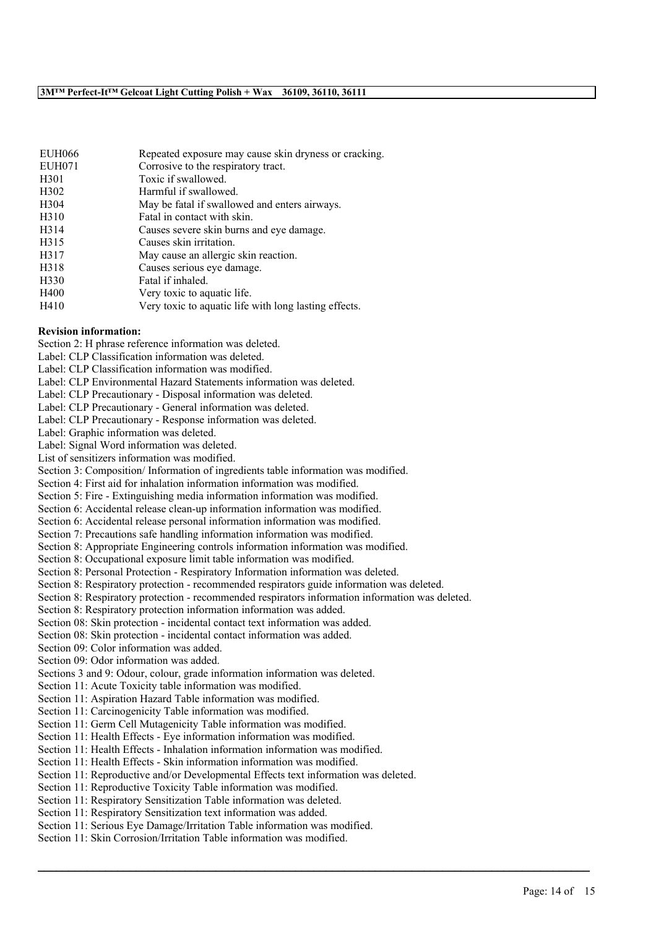| Repeated exposure may cause skin dryness or cracking. |
|-------------------------------------------------------|
| Corrosive to the respiratory tract.                   |
| Toxic if swallowed.                                   |
| Harmful if swallowed.                                 |
| May be fatal if swallowed and enters airways.         |
| Fatal in contact with skin.                           |
| Causes severe skin burns and eye damage.              |
| Causes skin irritation.                               |
| May cause an allergic skin reaction.                  |
| Causes serious eye damage.                            |
| Fatal if inhaled.                                     |
| Very toxic to aquatic life.                           |
| Very toxic to aquatic life with long lasting effects. |
|                                                       |

### **Revision information:**

Section 2: H phrase reference information was deleted.

Label: CLP Classification information was deleted.

Label: CLP Classification information was modified.

Label: CLP Environmental Hazard Statements information was deleted.

Label: CLP Precautionary - Disposal information was deleted.

Label: CLP Precautionary - General information was deleted.

Label: CLP Precautionary - Response information was deleted.

Label: Graphic information was deleted.

Label: Signal Word information was deleted.

List of sensitizers information was modified.

Section 3: Composition/ Information of ingredients table information was modified.

Section 4: First aid for inhalation information information was modified.

Section 5: Fire - Extinguishing media information information was modified.

Section 6: Accidental release clean-up information information was modified.

Section 6: Accidental release personal information information was modified.

Section 7: Precautions safe handling information information was modified.

Section 8: Appropriate Engineering controls information information was modified.

Section 8: Occupational exposure limit table information was modified.

Section 8: Personal Protection - Respiratory Information information was deleted.

Section 8: Respiratory protection - recommended respirators guide information was deleted.

Section 8: Respiratory protection - recommended respirators information information was deleted.

Section 8: Respiratory protection information information was added.

Section 08: Skin protection - incidental contact text information was added.

Section 08: Skin protection - incidental contact information was added.

Section 09: Color information was added.

Section 09: Odor information was added.

Sections 3 and 9: Odour, colour, grade information information was deleted.

Section 11: Acute Toxicity table information was modified.

Section 11: Aspiration Hazard Table information was modified.

Section 11: Carcinogenicity Table information was modified.

Section 11: Germ Cell Mutagenicity Table information was modified.

Section 11: Health Effects - Eye information information was modified.

Section 11: Health Effects - Inhalation information information was modified.

Section 11: Health Effects - Skin information information was modified.

Section 11: Reproductive and/or Developmental Effects text information was deleted.

 $\mathcal{L}_\mathcal{L} = \mathcal{L}_\mathcal{L} = \mathcal{L}_\mathcal{L} = \mathcal{L}_\mathcal{L} = \mathcal{L}_\mathcal{L} = \mathcal{L}_\mathcal{L} = \mathcal{L}_\mathcal{L} = \mathcal{L}_\mathcal{L} = \mathcal{L}_\mathcal{L} = \mathcal{L}_\mathcal{L} = \mathcal{L}_\mathcal{L} = \mathcal{L}_\mathcal{L} = \mathcal{L}_\mathcal{L} = \mathcal{L}_\mathcal{L} = \mathcal{L}_\mathcal{L} = \mathcal{L}_\mathcal{L} = \mathcal{L}_\mathcal{L}$ 

Section 11: Reproductive Toxicity Table information was modified.

Section 11: Respiratory Sensitization Table information was deleted.

Section 11: Respiratory Sensitization text information was added.

Section 11: Serious Eye Damage/Irritation Table information was modified.

Section 11: Skin Corrosion/Irritation Table information was modified.